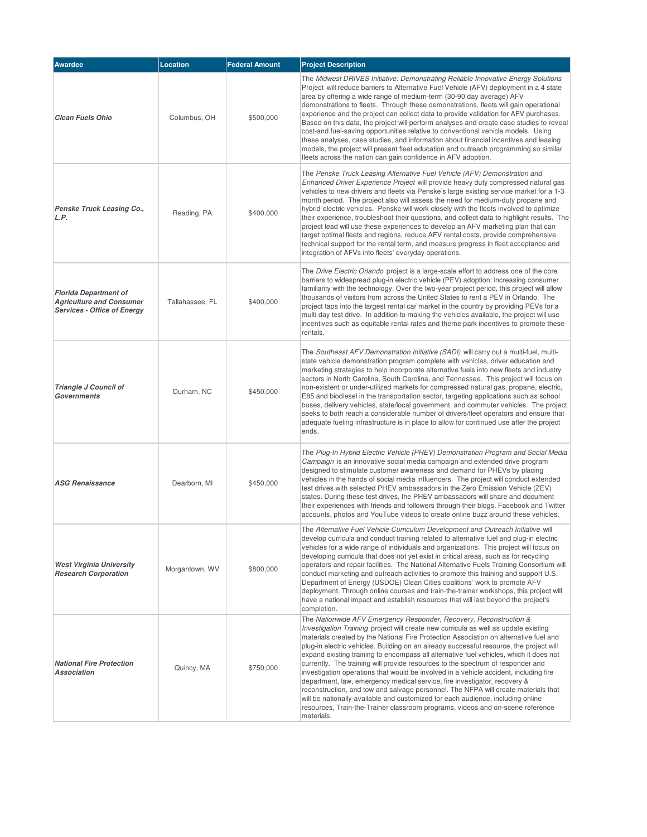| <b>Awardee</b>                                                                                        | <b>Location</b> | <b>Federal Amount</b> | <b>Project Description</b>                                                                                                                                                                                                                                                                                                                                                                                                                                                                                                                                                                                                                                                                                                                                                                                                                                                                                                                                                |
|-------------------------------------------------------------------------------------------------------|-----------------|-----------------------|---------------------------------------------------------------------------------------------------------------------------------------------------------------------------------------------------------------------------------------------------------------------------------------------------------------------------------------------------------------------------------------------------------------------------------------------------------------------------------------------------------------------------------------------------------------------------------------------------------------------------------------------------------------------------------------------------------------------------------------------------------------------------------------------------------------------------------------------------------------------------------------------------------------------------------------------------------------------------|
| <b>Clean Fuels Ohio</b>                                                                               | Columbus, OH    | \$500,000             | The Midwest DRIVES Initiative: Demonstrating Reliable Innovative Energy Solutions<br>Project will reduce barriers to Alternative Fuel Vehicle (AFV) deployment in a 4 state<br>area by offering a wide range of medium-term (30-90 day average) AFV<br>demonstrations to fleets. Through these demonstrations, fleets will gain operational<br>experience and the project can collect data to provide validation for AFV purchases.<br>Based on this data, the project will perform analyses and create case studies to reveal<br>cost-and fuel-saving opportunities relative to conventional vehicle models. Using<br>these analyses, case studies, and information about financial incentives and leasing<br>models, the project will present fleet education and outreach programming so similar<br>fleets across the nation can gain confidence in AFV adoption.                                                                                                      |
| Penske Truck Leasing Co.,<br>L.P.                                                                     | Reading, PA     | \$400,000             | The Penske Truck Leasing Alternative Fuel Vehicle (AFV) Demonstration and<br>Enhanced Driver Experience Project will provide heavy duty compressed natural gas<br>vehicles to new drivers and fleets via Penske's large existing service market for a 1-3<br>month period. The project also will assess the need for medium-duty propane and<br>hybrid-electric vehicles. Penske will work closely with the fleets involved to optimize<br>their experience, troubleshoot their questions, and collect data to highlight results. The<br>project lead will use these experiences to develop an AFV marketing plan that can<br>target optimal fleets and regions, reduce AFV rental costs, provide comprehensive<br>technical support for the rental term, and measure progress in fleet acceptance and<br>integration of AFVs into fleets' everyday operations.                                                                                                           |
| <b>Florida Department of</b><br><b>Agriculture and Consumer</b><br><b>Services - Office of Energy</b> | Tallahassee, FL | \$400,000             | The <i>Drive Electric Orlando</i> project is a large-scale effort to address one of the core<br>barriers to widespread plug-in electric vehicle (PEV) adoption: increasing consumer<br>familiarity with the technology. Over the two-year project period, this project will allow<br>thousands of visitors from across the United States to rent a PEV in Orlando. The<br>project taps into the largest rental car market in the country by providing PEVs for a<br>multi-day test drive. In addition to making the vehicles available, the project will use<br>incentives such as equitable rental rates and theme park incentives to promote these<br>rentals.                                                                                                                                                                                                                                                                                                          |
| Triangle J Council of<br><b>Governments</b>                                                           | Durham, NC      | \$450,000             | The Southeast AFV Demonstration Initiative (SADI) will carry out a multi-fuel, multi-<br>state vehicle demonstration program complete with vehicles, driver education and<br>marketing strategies to help incorporate alternative fuels into new fleets and industry<br>sectors in North Carolina, South Carolina, and Tennessee. This project will focus on<br>non-existent or under-utilized markets for compressed natural gas, propane, electric,<br>E85 and biodiesel in the transportation sector, targeting applications such as school<br>buses, delivery vehicles, state/local government, and commuter vehicles. The project<br>seeks to both reach a considerable number of drivers/fleet operators and ensure that<br>adequate fueling infrastructure is in place to allow for continued use after the project<br>ends.                                                                                                                                       |
| <b>ASG Renaissance</b>                                                                                | Dearborn, MI    | \$450,000             | The Plug-In Hybrid Electric Vehicle (PHEV) Demonstration Program and Social Media<br>Campaign is an innovative social media campaign and extended drive program<br>designed to stimulate customer awareness and demand for PHEVs by placing<br>vehicles in the hands of social media influencers. The project will conduct extended<br>test drives with selected PHEV ambassadors in the Zero Emission Vehicle (ZEV)<br>states. During these test drives, the PHEV ambassadors will share and document<br>their experiences with friends and followers through their blogs, Facebook and Twitter<br>accounts, photos and YouTube videos to create online buzz around these vehicles.                                                                                                                                                                                                                                                                                      |
| <b>West Virginia University</b><br><b>Research Corporation</b>                                        | Morgantown, WV  | \$800,000             | The Alternative Fuel Vehicle Curriculum Development and Outreach Initiative will<br>develop curricula and conduct training related to alternative fuel and plug-in electric<br>vehicles for a wide range of individuals and organizations. This project will focus on<br>developing curricula that does not yet exist in critical areas, such as for recycling<br>operators and repair facilities. The National Alternative Fuels Training Consortium will<br>conduct marketing and outreach activities to promote this training and support U.S.<br>Department of Energy (USDOE) Clean Cities coalitions' work to promote AFV<br>deployment. Through online courses and train-the-trainer workshops, this project will<br>have a national impact and establish resources that will last beyond the project's<br>completion.                                                                                                                                              |
| <b>National Fire Protection</b><br>Association                                                        | Quincy, MA      | \$750,000             | The Nationwide AFV Emergency Responder, Recovery, Reconstruction &<br>Investigation Training project will create new curricula as well as update existing<br>materials created by the National Fire Protection Association on alternative fuel and<br>plug-in electric vehicles. Building on an already successful resource, the project will<br>expand existing training to encompass all alternative fuel vehicles, which it does not<br>currently. The training will provide resources to the spectrum of responder and<br>investigation operations that would be involved in a vehicle accident, including fire<br>department, law, emergency medical service, fire investigator, recovery &<br>reconstruction, and tow and salvage personnel. The NFPA will create materials that<br>will be nationally-available and customized for each audience, including online<br>resources, Train-the-Trainer classroom programs, videos and on-scene reference<br>materials. |